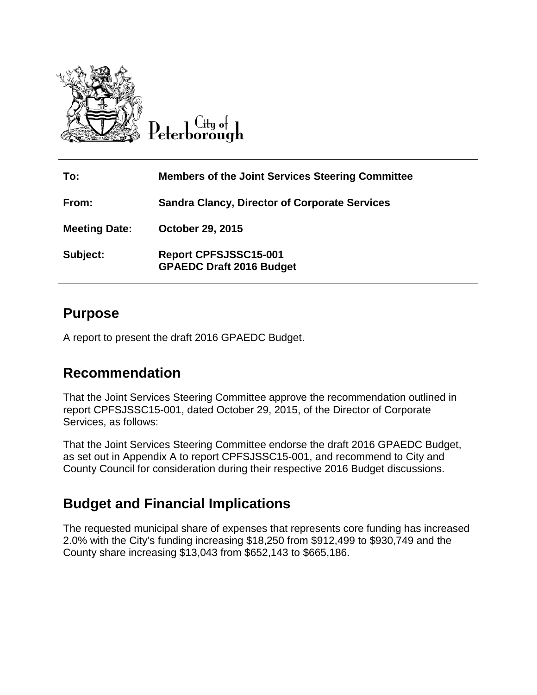

 $C$ ity of Peterborough

| To:                  | <b>Members of the Joint Services Steering Committee</b>         |
|----------------------|-----------------------------------------------------------------|
| From:                | <b>Sandra Clancy, Director of Corporate Services</b>            |
| <b>Meeting Date:</b> | <b>October 29, 2015</b>                                         |
| Subject:             | <b>Report CPFSJSSC15-001</b><br><b>GPAEDC Draft 2016 Budget</b> |

### **Purpose**

A report to present the draft 2016 GPAEDC Budget.

### **Recommendation**

That the Joint Services Steering Committee approve the recommendation outlined in report CPFSJSSC15-001, dated October 29, 2015, of the Director of Corporate Services, as follows:

That the Joint Services Steering Committee endorse the draft 2016 GPAEDC Budget, as set out in Appendix A to report CPFSJSSC15-001, and recommend to City and County Council for consideration during their respective 2016 Budget discussions.

### **Budget and Financial Implications**

The requested municipal share of expenses that represents core funding has increased 2.0% with the City's funding increasing \$18,250 from \$912,499 to \$930,749 and the County share increasing \$13,043 from \$652,143 to \$665,186.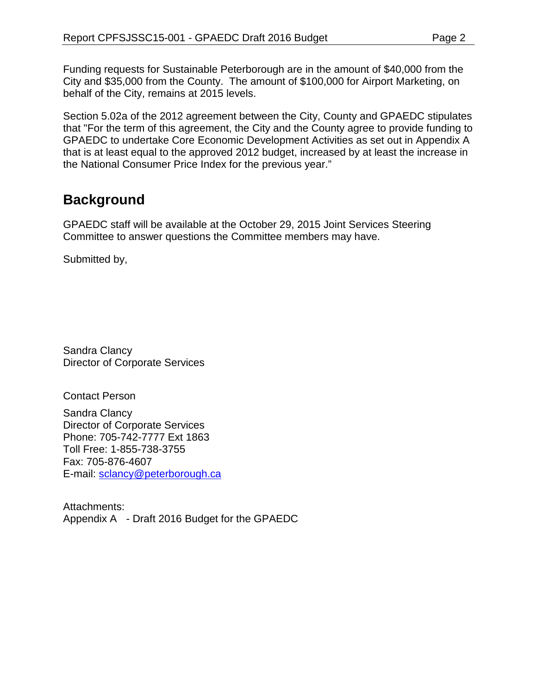Funding requests for Sustainable Peterborough are in the amount of \$40,000 from the City and \$35,000 from the County. The amount of \$100,000 for Airport Marketing, on behalf of the City, remains at 2015 levels.

Section 5.02a of the 2012 agreement between the City, County and GPAEDC stipulates that "For the term of this agreement, the City and the County agree to provide funding to GPAEDC to undertake Core Economic Development Activities as set out in Appendix A that is at least equal to the approved 2012 budget, increased by at least the increase in the National Consumer Price Index for the previous year."

## **Background**

GPAEDC staff will be available at the October 29, 2015 Joint Services Steering Committee to answer questions the Committee members may have.

Submitted by,

Sandra Clancy Director of Corporate Services

Contact Person

Sandra Clancy Director of Corporate Services Phone: 705-742-7777 Ext 1863 Toll Free: 1-855-738-3755 Fax: 705-876-4607 E-mail: [sclancy@peterborough.ca](mailto:sclancy@peterborough.ca)

Attachments: Appendix A - Draft 2016 Budget for the GPAEDC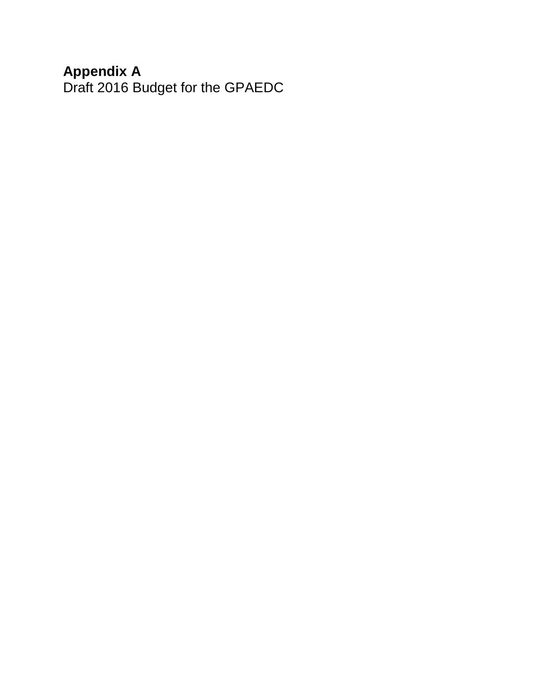### **Appendix A**

Draft 2016 Budget for the GPAEDC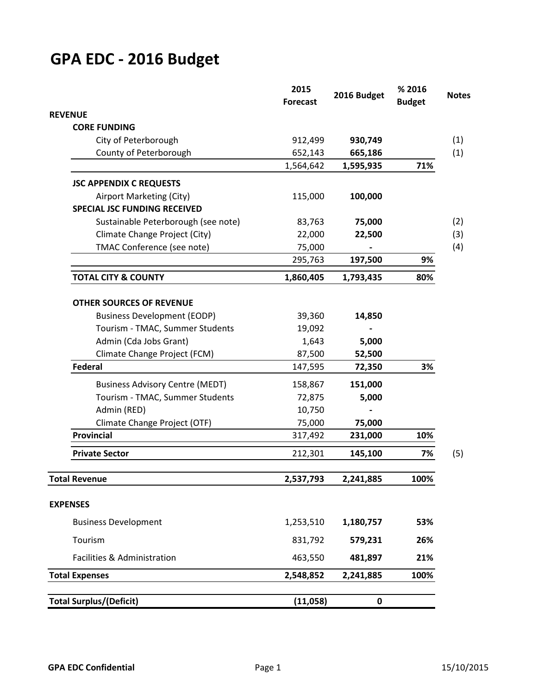# **GPA EDC - 2016 Budget**

|                                        | 2015<br><b>Forecast</b> | 2016 Budget | % 2016<br><b>Budget</b> |
|----------------------------------------|-------------------------|-------------|-------------------------|
| <b>REVENUE</b>                         |                         |             |                         |
| <b>CORE FUNDING</b>                    |                         |             |                         |
| City of Peterborough                   | 912,499                 | 930,749     |                         |
| County of Peterborough                 | 652,143                 | 665,186     |                         |
|                                        | 1,564,642               | 1,595,935   | 71%                     |
| <b>JSC APPENDIX C REQUESTS</b>         |                         |             |                         |
| Airport Marketing (City)               | 115,000                 | 100,000     |                         |
| <b>SPECIAL JSC FUNDING RECEIVED</b>    |                         |             |                         |
| Sustainable Peterborough (see note)    | 83,763                  | 75,000      |                         |
| Climate Change Project (City)          | 22,000                  | 22,500      |                         |
| TMAC Conference (see note)             | 75,000                  |             |                         |
|                                        | 295,763                 | 197,500     | 9%                      |
| <b>TOTAL CITY &amp; COUNTY</b>         | 1,860,405               | 1,793,435   | 80%                     |
| <b>OTHER SOURCES OF REVENUE</b>        |                         |             |                         |
| <b>Business Development (EODP)</b>     | 39,360                  | 14,850      |                         |
| Tourism - TMAC, Summer Students        | 19,092                  |             |                         |
| Admin (Cda Jobs Grant)                 | 1,643                   | 5,000       |                         |
| Climate Change Project (FCM)           | 87,500                  | 52,500      |                         |
| <b>Federal</b>                         | 147,595                 | 72,350      | 3%                      |
| <b>Business Advisory Centre (MEDT)</b> | 158,867                 | 151,000     |                         |
| Tourism - TMAC, Summer Students        | 72,875                  | 5,000       |                         |
| Admin (RED)                            | 10,750                  |             |                         |
| Climate Change Project (OTF)           | 75,000                  | 75,000      |                         |
| <b>Provincial</b>                      | 317,492                 | 231,000     | 10%                     |
| <b>Private Sector</b>                  | 212,301                 | 145,100     | 7%                      |
|                                        | 2,537,793               | 2,241,885   | 100%                    |
| <b>Total Revenue</b>                   |                         |             |                         |
| <b>EXPENSES</b>                        |                         |             |                         |
| <b>Business Development</b>            | 1,253,510               | 1,180,757   | 53%                     |
| Tourism                                | 831,792                 | 579,231     | 26%                     |
| Facilities & Administration            | 463,550                 | 481,897     | 21%                     |
| <b>Total Expenses</b>                  | 2,548,852               | 2,241,885   | 100%                    |
|                                        |                         |             |                         |
| <b>Total Surplus/(Deficit)</b>         | (11,058)                | $\mathbf 0$ |                         |